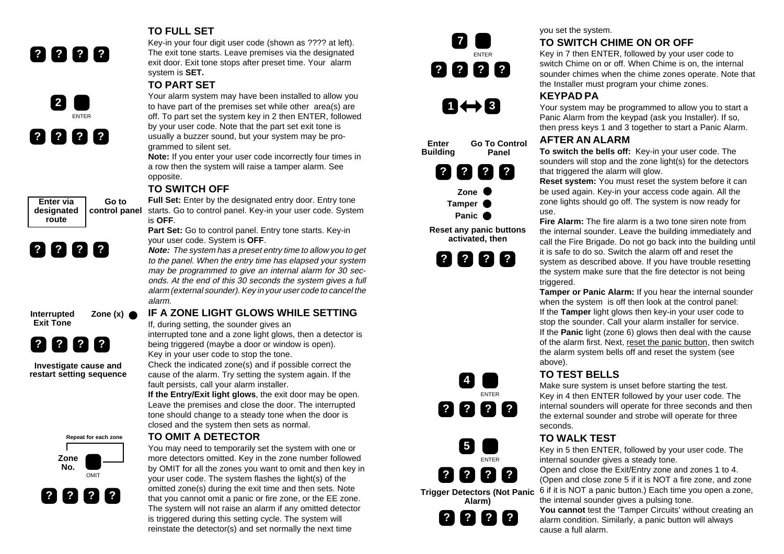



**Enter via designated route**

**Go to**

**TO FULL SET**

Key-in your four digit user code (shown as ???? at left). The exit tone starts. Leave premises via the designated exit door. Exit tone stops after preset time. Your alarm system is **SET.**

#### **TO PART SET**

Your alarm system may have been installed to allow you to have part of the premises set while other area(s) are off. To part set the system key in 2 then ENTER, followed by your user code. Note that the part set exit tone is usually a buzzer sound, but your system may be programmed to silent set.

**Note:** If you enter your user code incorrectly four times in a row then the system will raise a tamper alarm. See opposite.

#### **TO SWITCH OFF**

**Full Set:** Enter by the designated entry door. Entry tone **control panel** starts. Go to control panel. Key-in your user code. System is **OFF**.

> **Part Set:** Go to control panel. Entry tone starts. Key-in your user code. System is **OFF**.

**Note:** The system has a preset entry time to allow you to get to the panel. When the entry time has elapsed your system may be programmed to give an internal alarm for 30 seconds. At the end of this 30 seconds the system gives a full alarm (external sounder). Key in your user code to cancel the alarm.

**Interrupted Zone (x) Exit Tone**



**? ? ? ?**

**Investigate cause and restart setting sequence**

**Repeat for each zone**





# **IF A ZONE LIGHT GLOWS WHILE SETTING**

If, during setting, the sounder gives an interrupted tone and a zone light glows, then a detector is

being triggered (maybe a door or window is open). Key in your user code to stop the tone.

Check the indicated zone(s) and if possible correct the cause of the alarm. Try setting the system again. If the fault persists, call your alarm installer.

**If the Entry/Exit light glows**, the exit door may be open. Leave the premises and close the door. The interrupted tone should change to a steady tone when the door is closed and the system then sets as normal.

#### **TO OMIT A DETECTOR**

You may need to temporarily set the system with one or more detectors omitted. Key in the zone number followed by OMIT for all the zones you want to omit and then key in your user code. The system flashes the light(s) of the omitted zone(s) during the exit time and then sets. Note that you cannot omit a panic or fire zone, or the EE zone. The system will not raise an alarm if any omitted detector is triggered during this setting cycle. The system will reinstate the detector(s) and set normally the next time









**Reset any panic buttons activated, then**







**Alarm)**



### you set the system.

# **TO SWITCH CHIME ON OR OFF**

Key in 7 then ENTER, followed by your user code to switch Chime on or off. When Chime is on, the internal sounder chimes when the chime zones operate. Note that the Installer must program your chime zones.

# **KEYPAD PA**

Your system may be programmed to allow you to start a Panic Alarm from the keypad (ask you Installer). If so, then press keys 1 and 3 together to start a Panic Alarm.

#### **AFTER AN ALARM**

**To switch the bells off:** Key-in your user code. The sounders will stop and the zone light(s) for the detectors that triggered the alarm will glow.

**Reset system:** You must reset the system before it can be used again. Key-in your access code again. All the zone lights should go off. The system is now ready for use.

**Fire Alarm:** The fire alarm is a two tone siren note from the internal sounder. Leave the building immediately and call the Fire Brigade. Do not go back into the building until it is safe to do so. Switch the alarm off and reset the system as described above. If you have trouble resetting the system make sure that the fire detector is not being triggered.

**Tamper or Panic Alarm:** If you hear the internal sounder when the system is off then look at the control panel: If the **Tamper** light glows then key-in your user code to stop the sounder. Call your alarm installer for service. If the **Panic** light (zone 6) glows then deal with the cause of the alarm first. Next, reset the panic button, then switch the alarm system bells off and reset the system (see above).

# **TO TEST BELLS**

Make sure system is unset before starting the test. Key in 4 then ENTER followed by your user code. The internal sounders will operate for three seconds and then the external sounder and strobe will operate for three seconds.

# **TO WALK TEST**

Key in 5 then ENTER, followed by your user code. The internal sounder gives a steady tone.

Open and close the Exit/Entry zone and zones 1 to 4. (Open and close zone 5 if it is NOT a fire zone, and zone 6 if it is NOT a panic button.) Each time you open a zone, the internal sounder gives a pulsing tone.

**You cannot** test the 'Tamper Circuits' without creating an alarm condition. Similarly, a panic button will always cause a full alarm.